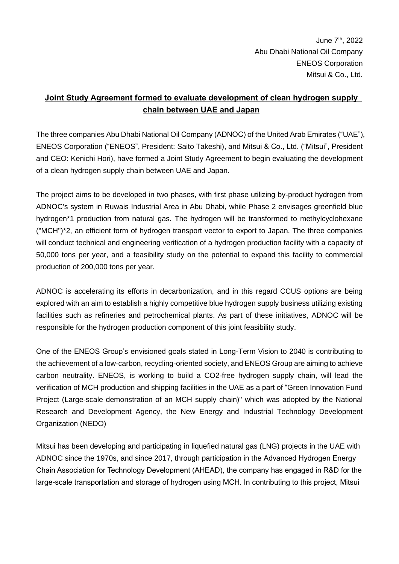June 7<sup>th</sup>, 2022 Abu Dhabi National Oil Company ENEOS Corporation Mitsui & Co., Ltd.

## **Joint Study Agreement formed to evaluate development of clean hydrogen supply chain between UAE and Japan**

The three companies Abu Dhabi National Oil Company (ADNOC) of the United Arab Emirates ("UAE"), ENEOS Corporation ("ENEOS", President: Saito Takeshi), and Mitsui & Co., Ltd. ("Mitsui", President and CEO: Kenichi Hori), have formed a Joint Study Agreement to begin evaluating the development of a clean hydrogen supply chain between UAE and Japan.

The project aims to be developed in two phases, with first phase utilizing by-product hydrogen from ADNOC's system in Ruwais Industrial Area in Abu Dhabi, while Phase 2 envisages greenfield blue hydrogen\*1 production from natural gas. The hydrogen will be transformed to methylcyclohexane ("MCH")\*2, an efficient form of hydrogen transport vector to export to Japan. The three companies will conduct technical and engineering verification of a hydrogen production facility with a capacity of 50,000 tons per year, and a feasibility study on the potential to expand this facility to commercial production of 200,000 tons per year.

ADNOC is accelerating its efforts in decarbonization, and in this regard CCUS options are being explored with an aim to establish a highly competitive blue hydrogen supply business utilizing existing facilities such as refineries and petrochemical plants. As part of these initiatives, ADNOC will be responsible for the hydrogen production component of this joint feasibility study.

One of the ENEOS Group's envisioned goals stated in Long-Term Vision to 2040 is contributing to the achievement of a low-carbon, recycling-oriented society, and ENEOS Group are aiming to achieve carbon neutrality. ENEOS, is working to build a CO2-free hydrogen supply chain, will lead the verification of MCH production and shipping facilities in the UAE as a part of "Green Innovation Fund Project (Large-scale demonstration of an MCH supply chain)" which was adopted by the National Research and Development Agency, the New Energy and Industrial Technology Development Organization (NEDO)

Mitsui has been developing and participating in liquefied natural gas (LNG) projects in the UAE with ADNOC since the 1970s, and since 2017, through participation in the Advanced Hydrogen Energy Chain Association for Technology Development (AHEAD), the company has engaged in R&D for the large-scale transportation and storage of hydrogen using MCH. In contributing to this project, Mitsui